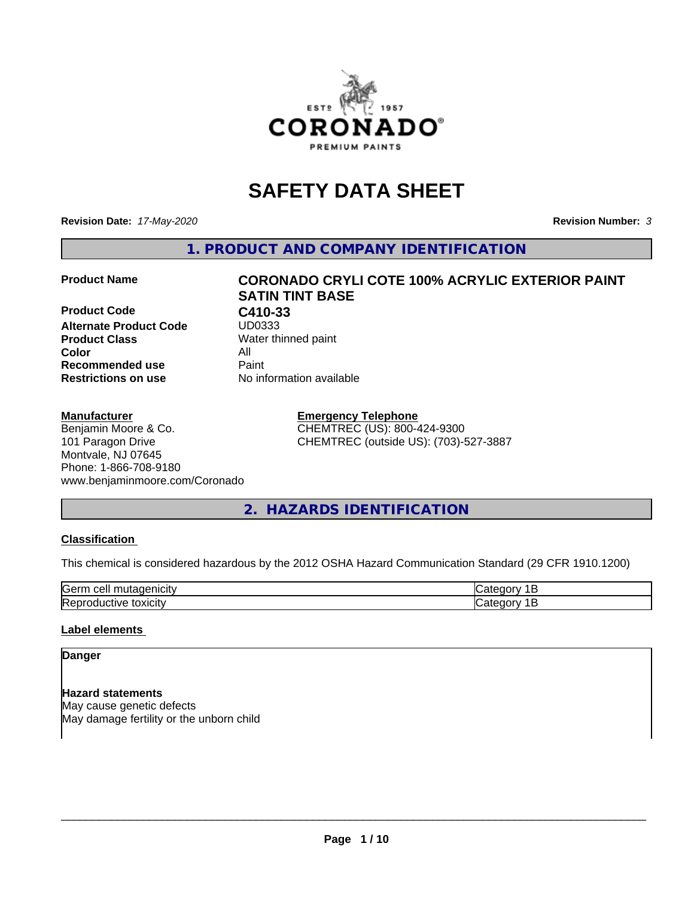

# **SAFETY DATA SHEET**

**Revision Date:** *17-May-2020* **Revision Number:** *3*

**1. PRODUCT AND COMPANY IDENTIFICATION**

**Product Code C410-33**<br>Alternate Product Code UD0333 **Alternate Product Code Product Class** Water thinned paint<br> **Color** All **Color** All **Recommended use Caint Restrictions on use** No information available

# **Product Name CORONADO CRYLI COTE 100% ACRYLIC EXTERIOR PAINT SATIN TINT BASE**

#### **Manufacturer**

Benjamin Moore & Co. 101 Paragon Drive Montvale, NJ 07645 Phone: 1-866-708-9180 www.benjaminmoore.com/Coronado

#### **Emergency Telephone** CHEMTREC (US): 800-424-9300 CHEMTREC (outside US): (703)-527-3887

**2. HAZARDS IDENTIFICATION**

#### **Classification**

This chemical is considered hazardous by the 2012 OSHA Hazard Communication Standard (29 CFR 1910.1200)

| lGeri<br>еп           |  |
|-----------------------|--|
| IR<br>toxicit\<br>.1W |  |

#### **Label elements**

#### **Danger**

**Hazard statements** May cause genetic defects May damage fertility or the unborn child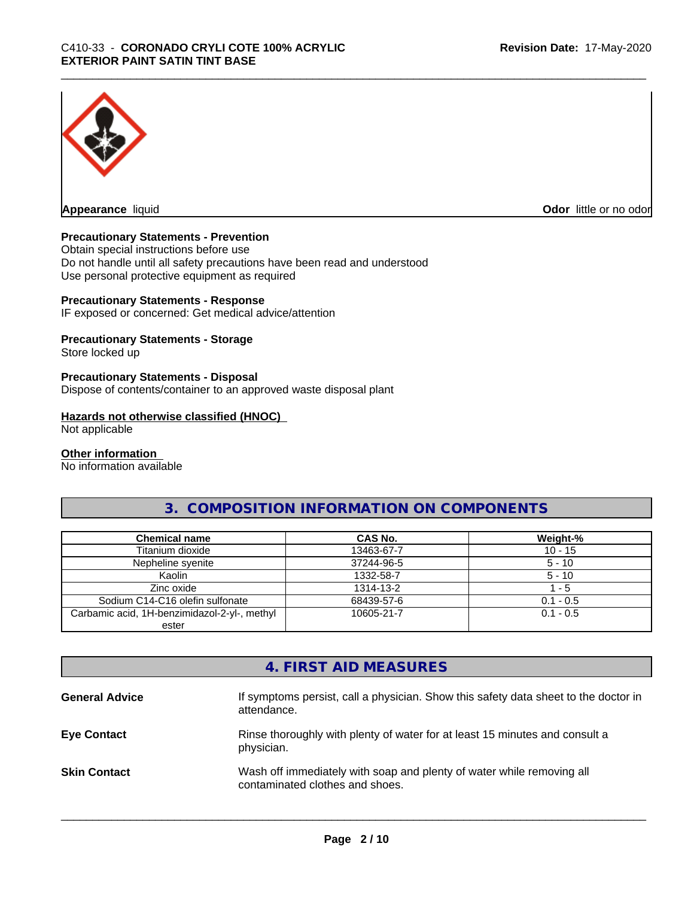

**Appearance** liquid **Odor in the original of the original of the original of the original of the original of the original of the original of the original of the original of the original of the original of the original of t** 

#### **Precautionary Statements - Prevention**

Obtain special instructions before use Do not handle until all safety precautions have been read and understood Use personal protective equipment as required

#### **Precautionary Statements - Response**

IF exposed or concerned: Get medical advice/attention

#### **Precautionary Statements - Storage**

Store locked up

#### **Precautionary Statements - Disposal**

Dispose of contents/container to an approved waste disposal plant

#### **Hazards not otherwise classified (HNOC)**

Not applicable

#### **Other information**

No information available

### **3. COMPOSITION INFORMATION ON COMPONENTS**

| <b>Chemical name</b>                         | <b>CAS No.</b> | Weight-%    |
|----------------------------------------------|----------------|-------------|
| Titanium dioxide                             | 13463-67-7     | $10 - 15$   |
| Nepheline svenite                            | 37244-96-5     | $5 - 10$    |
| Kaolin                                       | 1332-58-7      | $5 - 10$    |
| Zinc oxide                                   | 1314-13-2      | $-5$        |
| Sodium C14-C16 olefin sulfonate              | 68439-57-6     | $0.1 - 0.5$ |
| Carbamic acid, 1H-benzimidazol-2-yl-, methyl | 10605-21-7     | $0.1 - 0.5$ |
| ester                                        |                |             |

### **4. FIRST AID MEASURES**

| <b>General Advice</b> | If symptoms persist, call a physician. Show this safety data sheet to the doctor in<br>attendance.       |
|-----------------------|----------------------------------------------------------------------------------------------------------|
| <b>Eye Contact</b>    | Rinse thoroughly with plenty of water for at least 15 minutes and consult a<br>physician.                |
| <b>Skin Contact</b>   | Wash off immediately with soap and plenty of water while removing all<br>contaminated clothes and shoes. |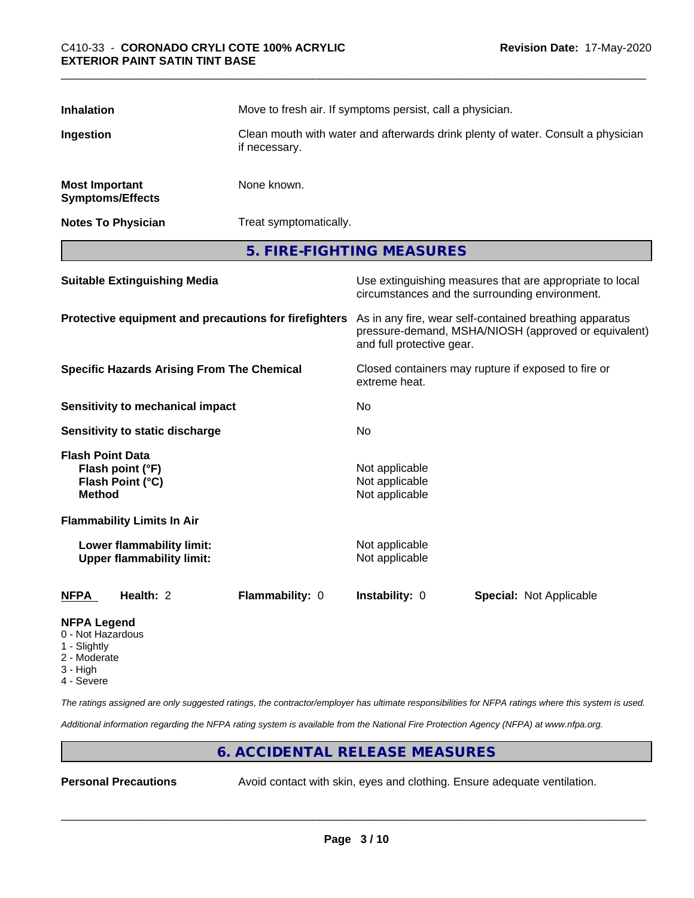| <b>Inhalation</b>                                                         |                                                                 |                                                       | Move to fresh air. If symptoms persist, call a physician. |                                                                                                                 |  |
|---------------------------------------------------------------------------|-----------------------------------------------------------------|-------------------------------------------------------|-----------------------------------------------------------|-----------------------------------------------------------------------------------------------------------------|--|
| Ingestion<br>if necessary.                                                |                                                                 |                                                       |                                                           | Clean mouth with water and afterwards drink plenty of water. Consult a physician                                |  |
| <b>Most Important</b>                                                     | <b>Symptoms/Effects</b>                                         | None known.                                           |                                                           |                                                                                                                 |  |
|                                                                           | <b>Notes To Physician</b>                                       | Treat symptomatically.                                |                                                           |                                                                                                                 |  |
|                                                                           |                                                                 |                                                       | 5. FIRE-FIGHTING MEASURES                                 |                                                                                                                 |  |
|                                                                           | <b>Suitable Extinguishing Media</b>                             |                                                       |                                                           | Use extinguishing measures that are appropriate to local<br>circumstances and the surrounding environment.      |  |
|                                                                           |                                                                 | Protective equipment and precautions for firefighters | and full protective gear.                                 | As in any fire, wear self-contained breathing apparatus<br>pressure-demand, MSHA/NIOSH (approved or equivalent) |  |
| <b>Specific Hazards Arising From The Chemical</b>                         |                                                                 | extreme heat.                                         | Closed containers may rupture if exposed to fire or       |                                                                                                                 |  |
|                                                                           | <b>Sensitivity to mechanical impact</b>                         |                                                       | No                                                        |                                                                                                                 |  |
|                                                                           | Sensitivity to static discharge                                 |                                                       | No                                                        |                                                                                                                 |  |
| <b>Method</b>                                                             | <b>Flash Point Data</b><br>Flash point (°F)<br>Flash Point (°C) |                                                       | Not applicable<br>Not applicable<br>Not applicable        |                                                                                                                 |  |
|                                                                           | <b>Flammability Limits In Air</b>                               |                                                       |                                                           |                                                                                                                 |  |
|                                                                           | Lower flammability limit:<br><b>Upper flammability limit:</b>   |                                                       | Not applicable<br>Not applicable                          |                                                                                                                 |  |
| <b>NFPA</b>                                                               | Health: 2                                                       | Flammability: 0                                       | Instability: 0                                            | <b>Special: Not Applicable</b>                                                                                  |  |
| <b>NFPA Legend</b><br>0 - Not Hazardous<br>$\bigcap$ if $\bigcup$ is also |                                                                 |                                                       |                                                           |                                                                                                                 |  |

- 1 Slightly
- 2 Moderate
- 3 High
- 4 Severe

*The ratings assigned are only suggested ratings, the contractor/employer has ultimate responsibilities for NFPA ratings where this system is used.*

*Additional information regarding the NFPA rating system is available from the National Fire Protection Agency (NFPA) at www.nfpa.org.*

#### **6. ACCIDENTAL RELEASE MEASURES**

**Personal Precautions** Avoid contact with skin, eyes and clothing. Ensure adequate ventilation.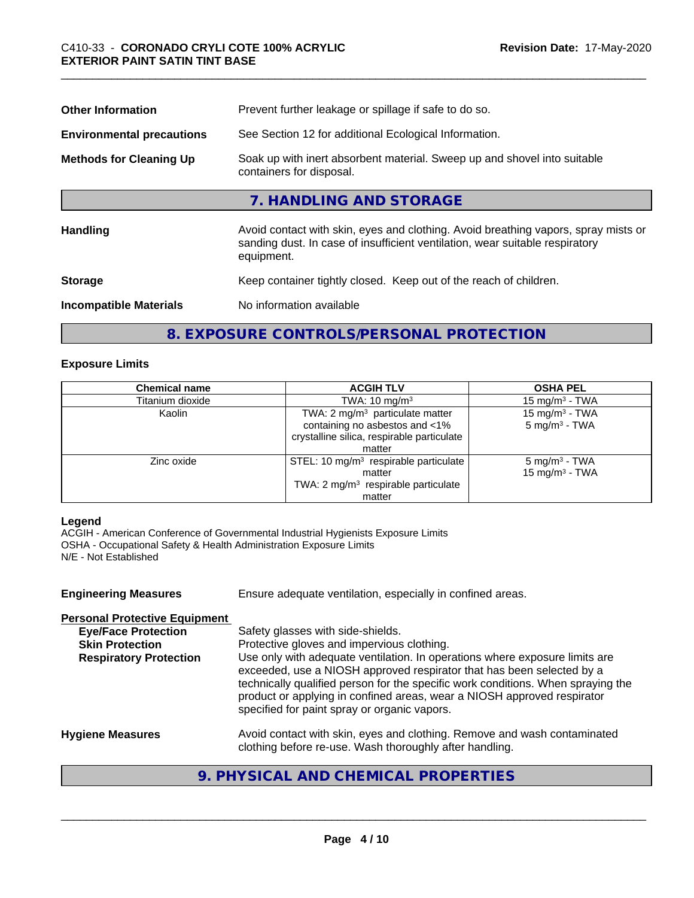| Prevent further leakage or spillage if safe to do so.                                                                                                                            |
|----------------------------------------------------------------------------------------------------------------------------------------------------------------------------------|
| See Section 12 for additional Ecological Information.                                                                                                                            |
| Soak up with inert absorbent material. Sweep up and shovel into suitable<br>containers for disposal.                                                                             |
| 7. HANDLING AND STORAGE                                                                                                                                                          |
| Avoid contact with skin, eyes and clothing. Avoid breathing vapors, spray mists or<br>sanding dust. In case of insufficient ventilation, wear suitable respiratory<br>equipment. |
| Keep container tightly closed. Keep out of the reach of children.                                                                                                                |
| No information available                                                                                                                                                         |
|                                                                                                                                                                                  |

#### **8. EXPOSURE CONTROLS/PERSONAL PROTECTION**

#### **Exposure Limits**

| <b>Chemical name</b> | <b>ACGIH TLV</b>                                | <b>OSHA PEL</b>            |
|----------------------|-------------------------------------------------|----------------------------|
| Titanium dioxide     | TWA: $10 \text{ mg/m}^3$                        | 15 mg/m $3$ - TWA          |
| Kaolin               | TWA: 2 mg/m <sup>3</sup> particulate matter     | 15 mg/m <sup>3</sup> - TWA |
|                      | containing no asbestos and <1%                  | $5 \text{ mg/m}^3$ - TWA   |
|                      | crystalline silica, respirable particulate      |                            |
|                      | matter                                          |                            |
| Zinc oxide           | STEL: 10 $mg/m3$ respirable particulate         | $5 \text{ mg/m}^3$ - TWA   |
|                      | matter                                          | 15 mg/m <sup>3</sup> - TWA |
|                      | TWA: 2 mg/m <sup>3</sup> respirable particulate |                            |
|                      | matter                                          |                            |

#### **Legend**

ACGIH - American Conference of Governmental Industrial Hygienists Exposure Limits OSHA - Occupational Safety & Health Administration Exposure Limits N/E - Not Established

| <b>Engineering Measures</b>                                                                                                   | Ensure adequate ventilation, especially in confined areas.                                                                                                                                                                                                                                                                                                                                                                                             |
|-------------------------------------------------------------------------------------------------------------------------------|--------------------------------------------------------------------------------------------------------------------------------------------------------------------------------------------------------------------------------------------------------------------------------------------------------------------------------------------------------------------------------------------------------------------------------------------------------|
| <b>Personal Protective Equipment</b><br><b>Eye/Face Protection</b><br><b>Skin Protection</b><br><b>Respiratory Protection</b> | Safety glasses with side-shields.<br>Protective gloves and impervious clothing.<br>Use only with adequate ventilation. In operations where exposure limits are<br>exceeded, use a NIOSH approved respirator that has been selected by a<br>technically qualified person for the specific work conditions. When spraying the<br>product or applying in confined areas, wear a NIOSH approved respirator<br>specified for paint spray or organic vapors. |
| <b>Hygiene Measures</b>                                                                                                       | Avoid contact with skin, eyes and clothing. Remove and wash contaminated<br>clothing before re-use. Wash thoroughly after handling.                                                                                                                                                                                                                                                                                                                    |

## **9. PHYSICAL AND CHEMICAL PROPERTIES**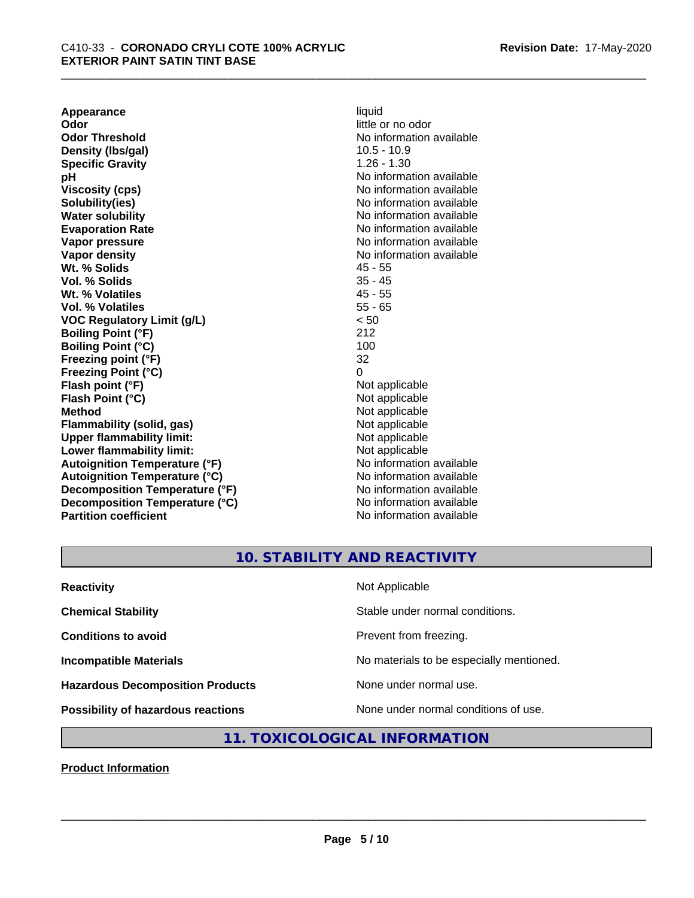**Appearance** liquid<br> **Odor** little c **Odor Threshold** No information available **Density (lbs/gal)** 10.5 - 10.9 **Specific Gravity** 1.26 - 1.30 **pH pH**  $\blacksquare$ **Viscosity (cps)** No information available Notice 1, 1999 **Solubility(ies)** No information available in the solution of the solution of the solution available in the solution of the solution of the solution of the solution of the solution of the solution of the solution of the so **Water solubility** No information available **Evaporation Rate No information available No information available Vapor pressure** No information available in the North American Monte available in the North American available **Vapor density**<br> **We Solids**<br>
We Solid Wi, % Solids
2018 **Wt. % Solids** 45 - 55 **Vol. % Solids Wt. % Volatiles** 45 - 55 **Vol. % Volatiles** 55 - 65 **VOC Regulatory Limit (g/L)** < 50 **Boiling Point (°F)** 212 **Boiling Point (°C) Freezing point (°F)** 32 **Freezing Point (°C)** 0 **Flash point (°F)**<br> **Flash Point (°C)**<br> **Flash Point (°C)**<br> **Compare Server All Alta Annual Mothematic Not applicable Flash Point (°C) Method** Not applicable<br> **Flammability (solid, gas)** Not applicable Not applicable **Flammability** (solid, gas) **Upper flammability limit:**<br> **Lower flammability limit:**<br>
Not applicable<br>
Not applicable **Lower flammability limit:**<br> **Autoignition Temperature (°F)** Not applicable Not applicable **Autoignition Temperature (°F) Autoignition Temperature (°C)** No information available **Decomposition Temperature (°F)** No information available **Decomposition Temperature (°C)** No information available **Partition coefficient** No information available

little or no odor

## **10. STABILITY AND REACTIVITY**

| <b>Reactivity</b>                         | Not Applicable                           |
|-------------------------------------------|------------------------------------------|
| <b>Chemical Stability</b>                 | Stable under normal conditions.          |
| <b>Conditions to avoid</b>                | Prevent from freezing.                   |
| <b>Incompatible Materials</b>             | No materials to be especially mentioned. |
| <b>Hazardous Decomposition Products</b>   | None under normal use.                   |
| <b>Possibility of hazardous reactions</b> | None under normal conditions of use.     |

### **11. TOXICOLOGICAL INFORMATION**

**Product Information**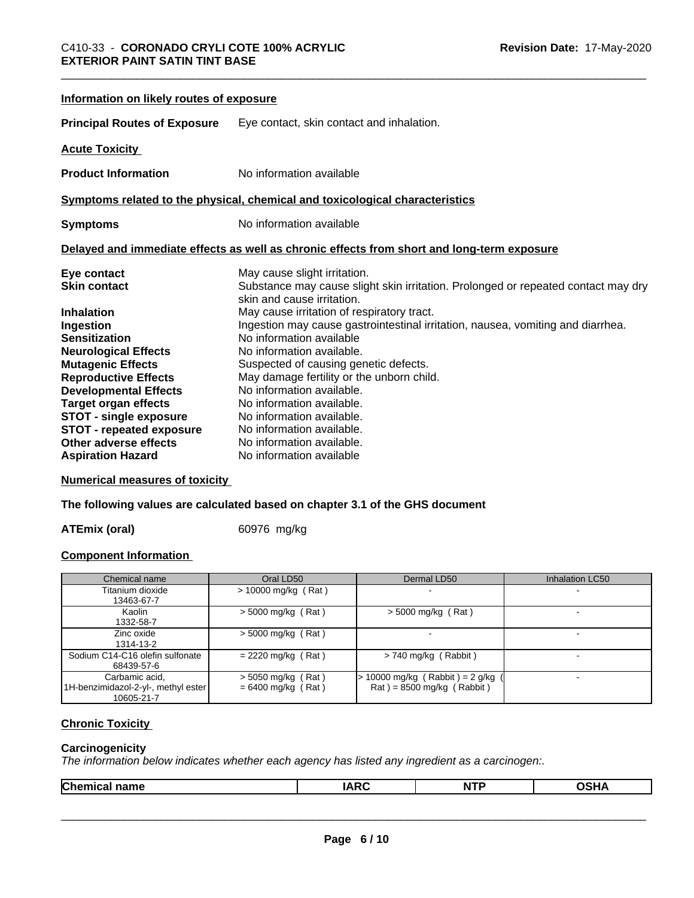| Information on likely routes of exposure |                                                                                                                 |
|------------------------------------------|-----------------------------------------------------------------------------------------------------------------|
| <b>Principal Routes of Exposure</b>      | Eye contact, skin contact and inhalation.                                                                       |
| <b>Acute Toxicity</b>                    |                                                                                                                 |
| <b>Product Information</b>               | No information available                                                                                        |
|                                          | Symptoms related to the physical, chemical and toxicological characteristics                                    |
| <b>Symptoms</b>                          | No information available                                                                                        |
|                                          | Delayed and immediate effects as well as chronic effects from short and long-term exposure                      |
| Eye contact                              | May cause slight irritation.                                                                                    |
| <b>Skin contact</b>                      | Substance may cause slight skin irritation. Prolonged or repeated contact may dry<br>skin and cause irritation. |
| <b>Inhalation</b>                        | May cause irritation of respiratory tract.                                                                      |
| Ingestion                                | Ingestion may cause gastrointestinal irritation, nausea, vomiting and diarrhea.                                 |
| <b>Sensitization</b>                     | No information available                                                                                        |
| <b>Neurological Effects</b>              | No information available.                                                                                       |
| <b>Mutagenic Effects</b>                 | Suspected of causing genetic defects.                                                                           |
| <b>Reproductive Effects</b>              | May damage fertility or the unborn child.                                                                       |
| <b>Developmental Effects</b>             | No information available.                                                                                       |
| <b>Target organ effects</b>              | No information available.                                                                                       |
| <b>STOT - single exposure</b>            | No information available.                                                                                       |
| <b>STOT - repeated exposure</b>          | No information available.                                                                                       |
| Other adverse effects                    | No information available.                                                                                       |
| <b>Aspiration Hazard</b>                 | No information available                                                                                        |

**Numerical measures of toxicity**

**The following values are calculated based on chapter 3.1 of the GHS document**

ATEmix (oral) 60976 mg/kg

#### **Component Information**

| Chemical name                                                       | Oral LD50                                    | Dermal LD50                                                                     | <b>Inhalation LC50</b> |
|---------------------------------------------------------------------|----------------------------------------------|---------------------------------------------------------------------------------|------------------------|
| Titanium dioxide<br>13463-67-7                                      | $> 10000$ mg/kg (Rat)                        |                                                                                 |                        |
| Kaolin<br>1332-58-7                                                 | $>$ 5000 mg/kg (Rat)                         | $>$ 5000 mg/kg (Rat)                                                            |                        |
| Zinc oxide<br>1314-13-2                                             | $>$ 5000 mg/kg (Rat)                         |                                                                                 |                        |
| Sodium C14-C16 olefin sulfonate<br>68439-57-6                       | $= 2220$ mg/kg (Rat)                         | $> 740$ mg/kg (Rabbit)                                                          |                        |
| Carbamic acid,<br>1H-benzimidazol-2-yl-, methyl ester<br>10605-21-7 | $>$ 5050 mg/kg (Rat)<br>$= 6400$ mg/kg (Rat) | · 10000 mg/kg (Rabbit)= 2 g/kg<br>$\text{Rat}$ = 8500 mg/kg ( $\text{Rabbit}$ ) |                        |

### **Chronic Toxicity**

#### **Carcinogenicity**

*The information below indicateswhether each agency has listed any ingredient as a carcinogen:.*

|--|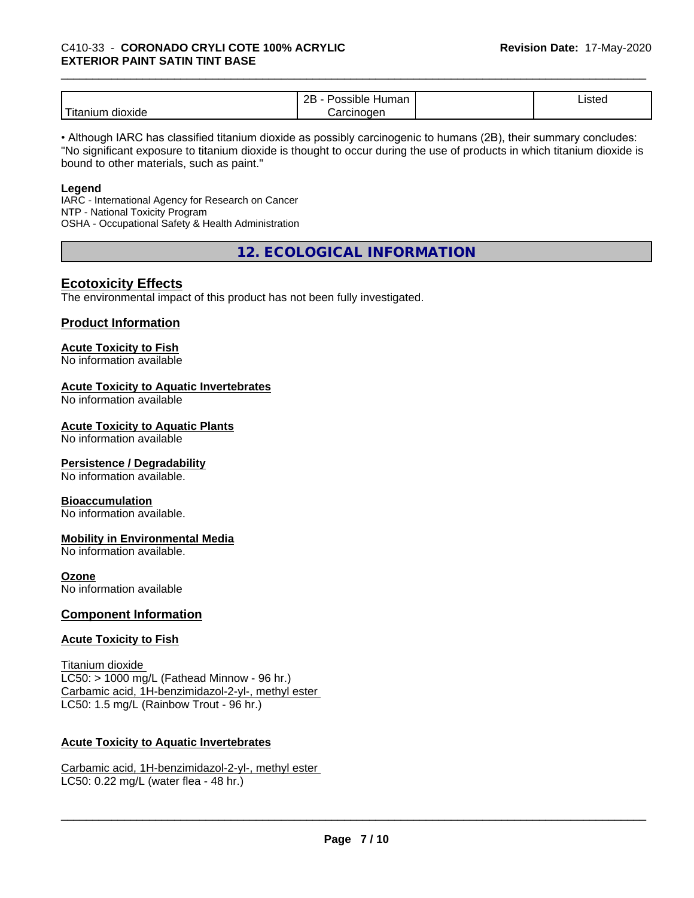|                            | ם ה<br>-<br>⊣umar<br>`sıble′<br>. .<br><br>ᅩ | $\cdot$<br>Listed |  |
|----------------------------|----------------------------------------------|-------------------|--|
| .<br>dioxide<br>. Hitaniur | ∴arcınoαer                                   |                   |  |

• Although IARC has classified titanium dioxide as possibly carcinogenic to humans (2B), their summary concludes: "No significant exposure to titanium dioxide is thought to occur during the use of products in which titanium dioxide is bound to other materials, such as paint."

#### **Legend**

IARC - International Agency for Research on Cancer NTP - National Toxicity Program OSHA - Occupational Safety & Health Administration

**12. ECOLOGICAL INFORMATION**

#### **Ecotoxicity Effects**

The environmental impact of this product has not been fully investigated.

#### **Product Information**

#### **Acute Toxicity to Fish**

No information available

#### **Acute Toxicity to Aquatic Invertebrates**

No information available

#### **Acute Toxicity to Aquatic Plants**

No information available

#### **Persistence / Degradability**

No information available.

#### **Bioaccumulation**

No information available.

#### **Mobility in Environmental Media**

No information available.

#### **Ozone**

No information available

#### **Component Information**

#### **Acute Toxicity to Fish**

Titanium dioxide  $LC50:$  > 1000 mg/L (Fathead Minnow - 96 hr.) Carbamic acid, 1H-benzimidazol-2-yl-, methyl ester LC50: 1.5 mg/L (Rainbow Trout - 96 hr.)

#### **Acute Toxicity to Aquatic Invertebrates**

Carbamic acid, 1H-benzimidazol-2-yl-, methyl ester LC50: 0.22 mg/L (water flea - 48 hr.)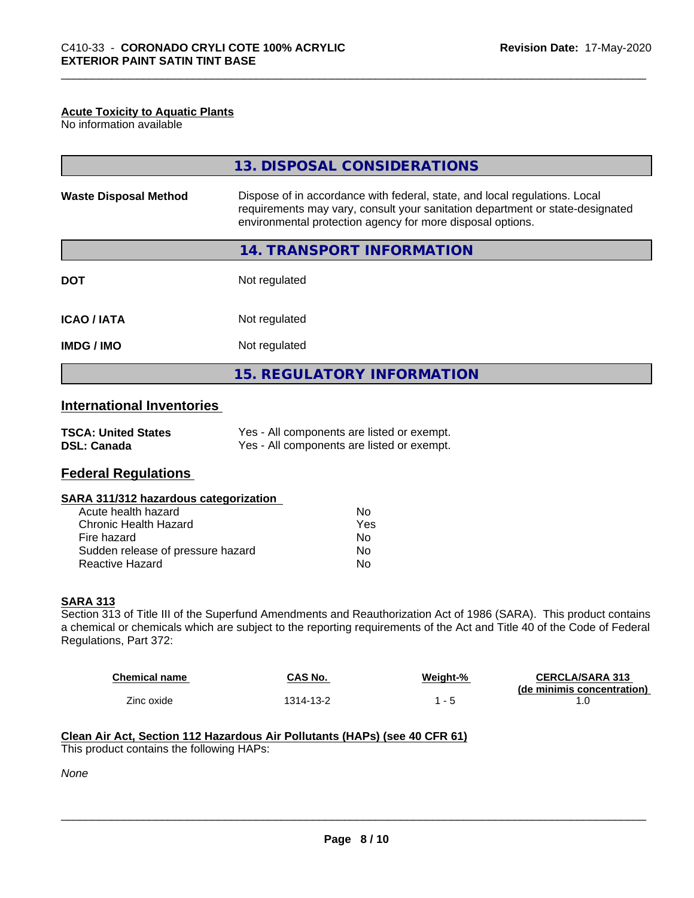#### **Acute Toxicity to Aquatic Plants**

No information available

| 13. DISPOSAL CONSIDERATIONS                                                                                                                                                                                               |
|---------------------------------------------------------------------------------------------------------------------------------------------------------------------------------------------------------------------------|
| Dispose of in accordance with federal, state, and local regulations. Local<br>requirements may vary, consult your sanitation department or state-designated<br>environmental protection agency for more disposal options. |
| 14. TRANSPORT INFORMATION                                                                                                                                                                                                 |
| Not regulated                                                                                                                                                                                                             |
| Not regulated                                                                                                                                                                                                             |
| Not regulated                                                                                                                                                                                                             |
| <b>15. REGULATORY INFORMATION</b>                                                                                                                                                                                         |
|                                                                                                                                                                                                                           |

#### **International Inventories**

| <b>TSCA: United States</b> | Yes - All components are listed or exempt. |
|----------------------------|--------------------------------------------|
| <b>DSL: Canada</b>         | Yes - All components are listed or exempt. |

#### **Federal Regulations**

#### **SARA 311/312 hazardous categorization**

| Acute health hazard               | Nο  |
|-----------------------------------|-----|
| Chronic Health Hazard             | Yes |
| Fire hazard                       | Nο  |
| Sudden release of pressure hazard | Nο  |
| Reactive Hazard                   | N٥  |

#### **SARA 313**

Section 313 of Title III of the Superfund Amendments and Reauthorization Act of 1986 (SARA). This product contains a chemical or chemicals which are subject to the reporting requirements of the Act and Title 40 of the Code of Federal Regulations, Part 372:

| <b>Chemical name</b> | CAS No.   | Weight-% | <b>CERCLA/SARA 313</b>     |
|----------------------|-----------|----------|----------------------------|
|                      |           |          | (de minimis concentration) |
| Zinc oxide           | 1314-13-2 |          |                            |

 $\overline{\phantom{a}}$  ,  $\overline{\phantom{a}}$  ,  $\overline{\phantom{a}}$  ,  $\overline{\phantom{a}}$  ,  $\overline{\phantom{a}}$  ,  $\overline{\phantom{a}}$  ,  $\overline{\phantom{a}}$  ,  $\overline{\phantom{a}}$  ,  $\overline{\phantom{a}}$  ,  $\overline{\phantom{a}}$  ,  $\overline{\phantom{a}}$  ,  $\overline{\phantom{a}}$  ,  $\overline{\phantom{a}}$  ,  $\overline{\phantom{a}}$  ,  $\overline{\phantom{a}}$  ,  $\overline{\phantom{a}}$ 

#### **Clean Air Act,Section 112 Hazardous Air Pollutants (HAPs) (see 40 CFR 61)** This product contains the following HAPs:

*None*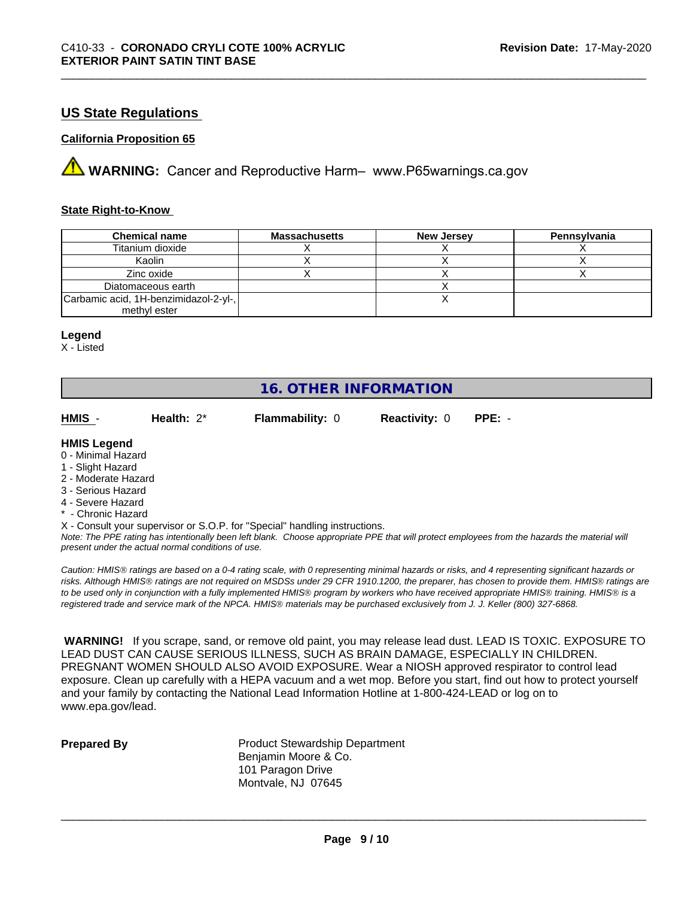#### **US State Regulations**

#### **California Proposition 65**

**A** WARNING: Cancer and Reproductive Harm– www.P65warnings.ca.gov

#### **State Right-to-Know**

| <b>Chemical name</b>                  | <b>Massachusetts</b> | <b>New Jersey</b> | Pennsylvania |
|---------------------------------------|----------------------|-------------------|--------------|
| Titanium dioxide                      |                      |                   |              |
| Kaolin                                |                      |                   |              |
| Zinc oxide                            |                      |                   |              |
| Diatomaceous earth                    |                      |                   |              |
| Carbamic acid, 1H-benzimidazol-2-yl-, |                      |                   |              |
| methyl ester                          |                      |                   |              |

#### **Legend**

X - Listed

### **16. OTHER INFORMATION**

| HMIS                                                          | Health: $2^*$ | <b>Flammability: 0</b> | <b>Reactivity: 0</b> | $PPE: -$ |
|---------------------------------------------------------------|---------------|------------------------|----------------------|----------|
| <b>HMIS Legend</b><br>0 - Minimal Hazard<br>1 - Slight Hazard |               |                        |                      |          |

- 2 Moderate Hazard
- 3 Serious Hazard
- 4 Severe Hazard
- \* Chronic Hazard
- X Consult your supervisor or S.O.P. for "Special" handling instructions.

*Note: The PPE rating has intentionally been left blank. Choose appropriate PPE that will protect employees from the hazards the material will present under the actual normal conditions of use.*

*Caution: HMISÒ ratings are based on a 0-4 rating scale, with 0 representing minimal hazards or risks, and 4 representing significant hazards or risks. Although HMISÒ ratings are not required on MSDSs under 29 CFR 1910.1200, the preparer, has chosen to provide them. HMISÒ ratings are to be used only in conjunction with a fully implemented HMISÒ program by workers who have received appropriate HMISÒ training. HMISÒ is a registered trade and service mark of the NPCA. HMISÒ materials may be purchased exclusively from J. J. Keller (800) 327-6868.*

 **WARNING!** If you scrape, sand, or remove old paint, you may release lead dust. LEAD IS TOXIC. EXPOSURE TO LEAD DUST CAN CAUSE SERIOUS ILLNESS, SUCH AS BRAIN DAMAGE, ESPECIALLY IN CHILDREN. PREGNANT WOMEN SHOULD ALSO AVOID EXPOSURE.Wear a NIOSH approved respirator to control lead exposure. Clean up carefully with a HEPA vacuum and a wet mop. Before you start, find out how to protect yourself and your family by contacting the National Lead Information Hotline at 1-800-424-LEAD or log on to www.epa.gov/lead.

**Prepared By** Product Stewardship Department Benjamin Moore & Co. 101 Paragon Drive Montvale, NJ 07645